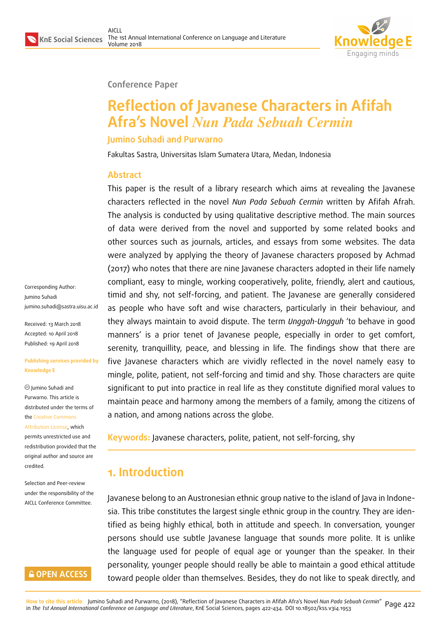

### **Conference Paper**

# **Reflection of Javanese Characters in Afifah Afra's Novel** *Nun Pada Sebuah Cermin*

### **Jumino Suhadi and Purwarno**

Fakultas Sastra, Universitas Islam Sumatera Utara, Medan, Indonesia

### **Abstract**

This paper is the result of a library research which aims at revealing the Javanese characters reflected in the novel *Nun Pada Sebuah Cermin* written by Afifah Afrah. The analysis is conducted by using qualitative descriptive method. The main sources of data were derived from the novel and supported by some related books and other sources such as journals, articles, and essays from some websites. The data were analyzed by applying the theory of Javanese characters proposed by Achmad (2017) who notes that there are nine Javanese characters adopted in their life namely compliant, easy to mingle, working cooperatively, polite, friendly, alert and cautious, timid and shy, not self-forcing, and patient. The Javanese are generally considered as people who have soft and wise characters, particularly in their behaviour, and they always maintain to avoid dispute. The term *Unggah-Ungguh* 'to behave in good manners' is a prior tenet of Javanese people, especially in order to get comfort, serenity, tranquillity, peace, and blessing in life. The findings show that there are five Javanese characters which are vividly reflected in the novel namely easy to mingle, polite, patient, not self-forcing and timid and shy. Those characters are quite significant to put into practice in real life as they constitute dignified moral values to maintain peace and harmony among the members of a family, among the citizens of a nation, and among nations across the globe.

**Keywords:** Javanese characters, polite, patient, not self-forcing, shy

# **1. Introduction**

Javanese belong to an Austronesian ethnic group native to the island of Java in Indonesia. This tribe constitutes the largest single ethnic group in the country. They are identified as being highly ethical, both in attitude and speech. In conversation, younger persons should use subtle Javanese language that sounds more polite. It is unlike the language used for people of equal age or younger than the speaker. In their personality, younger people should really be able to maintain a good ethical attitude toward people older than themselves. Besides, they do not like to speak directly, and

Corresponding Author: Jumino Suhadi jumino.suhadi@sastra.uisu.ac.id

Received: 13 March 2018 Accepted: 10 April 2018 [Published: 19 April 2018](mailto:jumino.suhadi@sastra.uisu.ac.id)

#### **Publishing services provided by Knowledge E**

Jumino Suhadi and Purwarno. This article is distributed under the terms of the Creative Commons

Attribution License, which permits unrestricted use and redistribution provided that the ori[ginal author and sou](https://creativecommons.org/licenses/by/4.0/)rce are [credited.](https://creativecommons.org/licenses/by/4.0/)

Selection and Peer-review under the responsibility of the AICLL Conference Committee.

### **GOPEN ACCESS**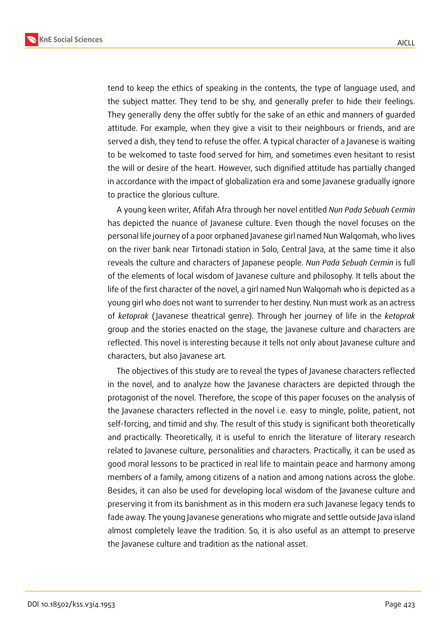

tend to keep the ethics of speaking in the contents, the type of language used, and the subject matter. They tend to be shy, and generally prefer to hide their feelings. They generally deny the offer subtly for the sake of an ethic and manners of guarded attitude. For example, when they give a visit to their neighbours or friends, and are served a dish, they tend to refuse the offer. A typical character of a Javanese is waiting to be welcomed to taste food served for him, and sometimes even hesitant to resist the will or desire of the heart. However, such dignified attitude has partially changed in accordance with the impact of globalization era and some Javanese gradually ignore to practice the glorious culture.

A young keen writer, Afifah Afra through her novel entitled *Nun Pada Sebuah Cermin* has depicted the nuance of Javanese culture. Even though the novel focuses on the personal life journey of a poor orphaned Javanese girl named Nun Walqomah, who lives on the river bank near Tirtonadi station in Solo, Central Java, at the same time it also reveals the culture and characters of Japanese people. *Nun Pada Sebuah Cermin* is full of the elements of local wisdom of Javanese culture and philosophy. It tells about the life of the first character of the novel, a girl named Nun Walqomah who is depicted as a young girl who does not want to surrender to her destiny. Nun must work as an actress of *ketoprak* ( Javanese theatrical genre). Through her journey of life in the *ketoprak* group and the stories enacted on the stage, the Javanese culture and characters are reflected. This novel is interesting because it tells not only about Javanese culture and characters, but also Javanese art*.*

The objectives of this study are to reveal the types of Javanese characters reflected in the novel, and to analyze how the Javanese characters are depicted through the protagonist of the novel. Therefore, the scope of this paper focuses on the analysis of the Javanese characters reflected in the novel i.e. easy to mingle, polite, patient, not self-forcing, and timid and shy. The result of this study is significant both theoretically and practically. Theoretically, it is useful to enrich the literature of literary research related to Javanese culture, personalities and characters. Practically, it can be used as good moral lessons to be practiced in real life to maintain peace and harmony among members of a family, among citizens of a nation and among nations across the globe. Besides, it can also be used for developing local wisdom of the Javanese culture and preserving it from its banishment as in this modern era such Javanese legacy tends to fade away. The young Javanese generations who migrate and settle outside Java island almost completely leave the tradition. So, it is also useful as an attempt to preserve the Javanese culture and tradition as the national asset.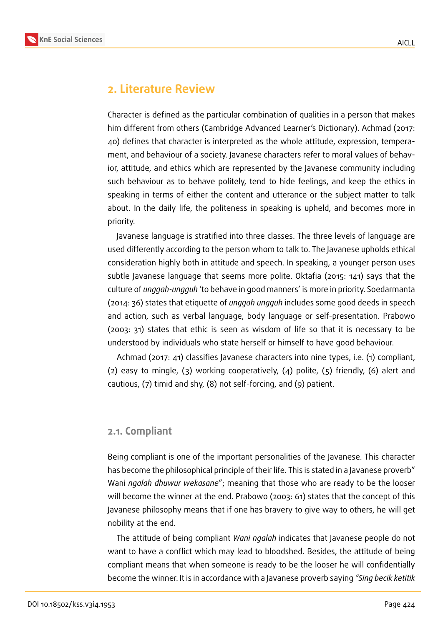

### **2. Literature Review**

Character is defined as the particular combination of qualities in a person that makes him different from others (Cambridge Advanced Learner's Dictionary). Achmad (2017: 40) defines that character is interpreted as the whole attitude, expression, temperament, and behaviour of a society. Javanese characters refer to moral values of behavior, attitude, and ethics which are represented by the Javanese community including such behaviour as to behave politely, tend to hide feelings, and keep the ethics in speaking in terms of either the content and utterance or the subject matter to talk about. In the daily life, the politeness in speaking is upheld, and becomes more in priority.

Javanese language is stratified into three classes. The three levels of language are used differently according to the person whom to talk to. The Javanese upholds ethical consideration highly both in attitude and speech. In speaking, a younger person uses subtle Javanese language that seems more polite. Oktafia (2015: 141) says that the culture of *unggah-ungguh* 'to behave in good manners' is more in priority. Soedarmanta (2014: 36) states that etiquette of *unggah ungguh* includes some good deeds in speech and action, such as verbal language, body language or self-presentation. Prabowo (2003: 31) states that ethic is seen as wisdom of life so that it is necessary to be understood by individuals who state herself or himself to have good behaviour.

Achmad (2017: 41) classifies Javanese characters into nine types, i.e. (1) compliant, (2) easy to mingle, (3) working cooperatively, (4) polite, (5) friendly, (6) alert and cautious, (7) timid and shy, (8) not self-forcing, and (9) patient.

#### **2.1. Compliant**

Being compliant is one of the important personalities of the Javanese. This character has become the philosophical principle of their life. This is stated in a Javanese proverb" Wani *ngalah dhuwur wekasane*"; meaning that those who are ready to be the looser will become the winner at the end. Prabowo (2003: 61) states that the concept of this Javanese philosophy means that if one has bravery to give way to others, he will get nobility at the end.

The attitude of being compliant *Wani ngalah* indicates that Javanese people do not want to have a conflict which may lead to bloodshed. Besides, the attitude of being compliant means that when someone is ready to be the looser he will confidentially become the winner. It is in accordance with a Javanese proverb saying *"Sing becik ketitik*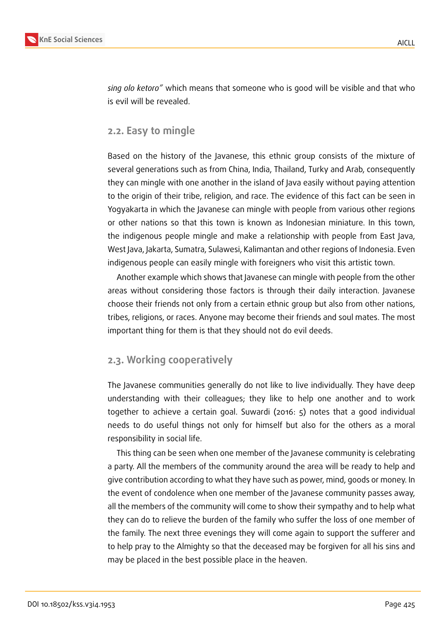

*sing olo ketoro"* which means that someone who is good will be visible and that who is evil will be revealed.

### **2.2. Easy to mingle**

Based on the history of the Javanese, this ethnic group consists of the mixture of several generations such as from China, India, Thailand, Turky and Arab, consequently they can mingle with one another in the island of Java easily without paying attention to the origin of their tribe, religion, and race. The evidence of this fact can be seen in Yogyakarta in which the Javanese can mingle with people from various other regions or other nations so that this town is known as Indonesian miniature. In this town, the indigenous people mingle and make a relationship with people from East Java, West Java, Jakarta, Sumatra, Sulawesi, Kalimantan and other regions of Indonesia. Even indigenous people can easily mingle with foreigners who visit this artistic town.

Another example which shows that Javanese can mingle with people from the other areas without considering those factors is through their daily interaction. Javanese choose their friends not only from a certain ethnic group but also from other nations, tribes, religions, or races. Anyone may become their friends and soul mates. The most important thing for them is that they should not do evil deeds.

### **2.3. Working cooperatively**

The Javanese communities generally do not like to live individually. They have deep understanding with their colleagues; they like to help one another and to work together to achieve a certain goal. Suwardi (2016: 5) notes that a good individual needs to do useful things not only for himself but also for the others as a moral responsibility in social life.

This thing can be seen when one member of the Javanese community is celebrating a party. All the members of the community around the area will be ready to help and give contribution according to what they have such as power, mind, goods or money. In the event of condolence when one member of the Javanese community passes away, all the members of the community will come to show their sympathy and to help what they can do to relieve the burden of the family who suffer the loss of one member of the family. The next three evenings they will come again to support the sufferer and to help pray to the Almighty so that the deceased may be forgiven for all his sins and may be placed in the best possible place in the heaven.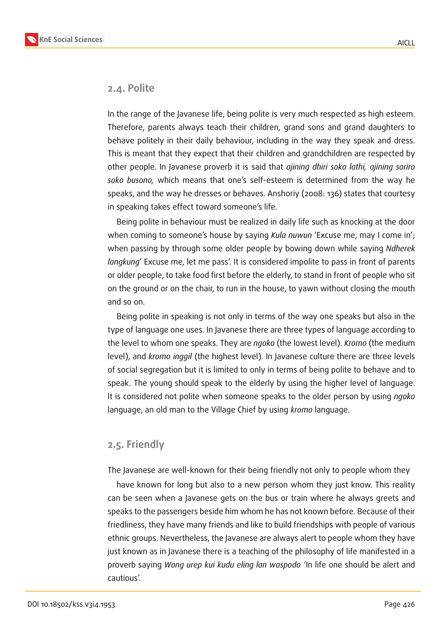

#### **2.4. Polite**

In the range of the Javanese life, being polite is very much respected as high esteem. Therefore, parents always teach their children, grand sons and grand daughters to behave politely in their daily behaviour, including in the way they speak and dress. This is meant that they expect that their children and grandchildren are respected by other people. In Javanese proverb it is said that *ajining dhiri soko lathi, ajining sariro soko busono,* which means that one's self-esteem is determined from the way he speaks, and the way he dresses or behaves. Anshoriy (2008: 136) states that courtesy in speaking takes effect toward someone's life.

Being polite in behaviour must be realized in daily life such as knocking at the door when coming to someone's house by saying *Kula nuwun* 'Excuse me, may I come in'; when passing by through some older people by bowing down while saying *Ndherek langkung*' Excuse me, let me pass'. It is considered impolite to pass in front of parents or older people, to take food first before the elderly, to stand in front of people who sit on the ground or on the chair, to run in the house, to yawn without closing the mouth and so on.

Being polite in speaking is not only in terms of the way one speaks but also in the type of language one uses. In Javanese there are three types of language according to the level to whom one speaks. They are *ngoko* (the lowest level). *Kromo* (the medium level), and *kromo inggil* (the highest level). In Javanese culture there are three levels of social segregation but it is limited to only in terms of being polite to behave and to speak. The young should speak to the elderly by using the higher level of language. It is considered not polite when someone speaks to the older person by using *ngoko* language, an old man to the Village Chief by using *kromo* language.

### **2.5. Friendly**

The Javanese are well-known for their being friendly not only to people whom they

have known for long but also to a new person whom they just know. This reality can be seen when a Javanese gets on the bus or train where he always greets and speaks to the passengers beside him whom he has not known before. Because of their friedliness, they have many friends and like to build friendships with people of various ethnic groups. Nevertheless, the Javanese are always alert to people whom they have just known as in Javanese there is a teaching of the philosophy of life manifested in a proverb saying *Wong urep kui kudu eling lan waspodo '*In life one should be alert and cautious'.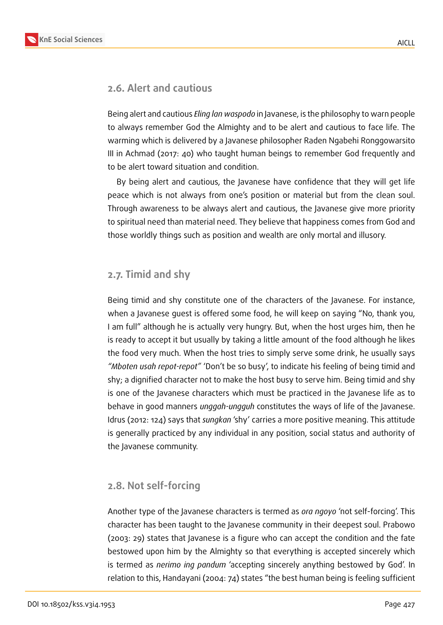

### **2.6. Alert and cautious**

Being alert and cautious *Eling lan waspodo* in Javanese, is the philosophy to warn people to always remember God the Almighty and to be alert and cautious to face life. The warming which is delivered by a Javanese philosopher Raden Ngabehi Ronggowarsito III in Achmad (2017: 40) who taught human beings to remember God frequently and to be alert toward situation and condition.

By being alert and cautious, the Javanese have confidence that they will get life peace which is not always from one's position or material but from the clean soul. Through awareness to be always alert and cautious, the Javanese give more priority to spiritual need than material need. They believe that happiness comes from God and those worldly things such as position and wealth are only mortal and illusory.

### **2.7. Timid and shy**

Being timid and shy constitute one of the characters of the Javanese. For instance, when a Javanese guest is offered some food, he will keep on saying "No, thank you, I am full" although he is actually very hungry. But, when the host urges him, then he is ready to accept it but usually by taking a little amount of the food although he likes the food very much. When the host tries to simply serve some drink, he usually says *"Mboten usah repot-repot"* 'Don't be so busy', to indicate his feeling of being timid and shy; a dignified character not to make the host busy to serve him. Being timid and shy is one of the Javanese characters which must be practiced in the Javanese life as to behave in good manners *unggah-ungguh* constitutes the ways of life of the Javanese. Idrus (2012: 124) says that *sungkan* 'shy' carries a more positive meaning. This attitude is generally practiced by any individual in any position, social status and authority of the Javanese community.

### **2.8. Not self-forcing**

Another type of the Javanese characters is termed as *ora ngoyo* 'not self-forcing'. This character has been taught to the Javanese community in their deepest soul. Prabowo (2003: 29) states that Javanese is a figure who can accept the condition and the fate bestowed upon him by the Almighty so that everything is accepted sincerely which is termed as *nerimo ing pandum* 'accepting sincerely anything bestowed by God'. In relation to this, Handayani (2004: 74) states "the best human being is feeling sufficient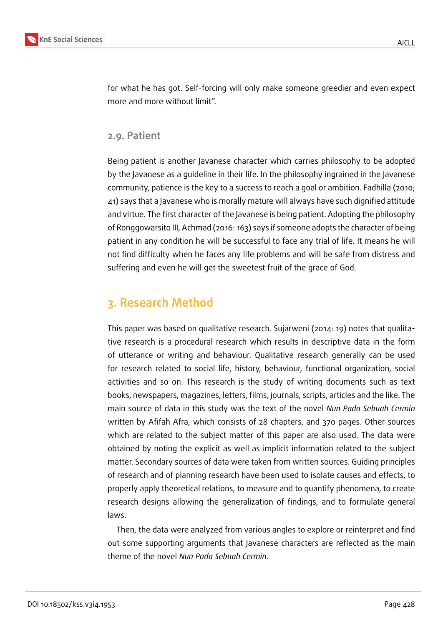

for what he has got. Self-forcing will only make someone greedier and even expect more and more without limit".

### **2.9. Patient**

Being patient is another Javanese character which carries philosophy to be adopted by the Javanese as a guideline in their life. In the philosophy ingrained in the Javanese community, patience is the key to a success to reach a goal or ambition. Fadhilla (2010; 41) says that a Javanese who is morally mature will always have such dignified attitude and virtue. The first character of the Javanese is being patient. Adopting the philosophy of Ronggowarsito III, Achmad (2016: 163) says if someone adopts the character of being patient in any condition he will be successful to face any trial of life. It means he will not find difficulty when he faces any life problems and will be safe from distress and suffering and even he will get the sweetest fruit of the grace of God.

# **3. Research Method**

This paper was based on qualitative research. Sujarweni (2014: 19) notes that qualitative research is a procedural research which results in descriptive data in the form of utterance or writing and behaviour. Qualitative research generally can be used for research related to social life, history, behaviour, functional organization, social activities and so on. This research is the study of writing documents such as text books, newspapers, magazines, letters, films, journals, scripts, articles and the like. The main source of data in this study was the text of the novel *Nun Pada Sebuah Cermin* written by Afifah Afra, which consists of 28 chapters, and 370 pages. Other sources which are related to the subject matter of this paper are also used. The data were obtained by noting the explicit as well as implicit information related to the subject matter. Secondary sources of data were taken from written sources. Guiding principles of research and of planning research have been used to isolate causes and effects, to properly apply theoretical relations, to measure and to quantify phenomena, to create research designs allowing the generalization of findings, and to formulate general laws.

Then, the data were analyzed from various angles to explore or reinterpret and find out some supporting arguments that Javanese characters are reflected as the main theme of the novel *Nun Pada Sebuah Cermin*.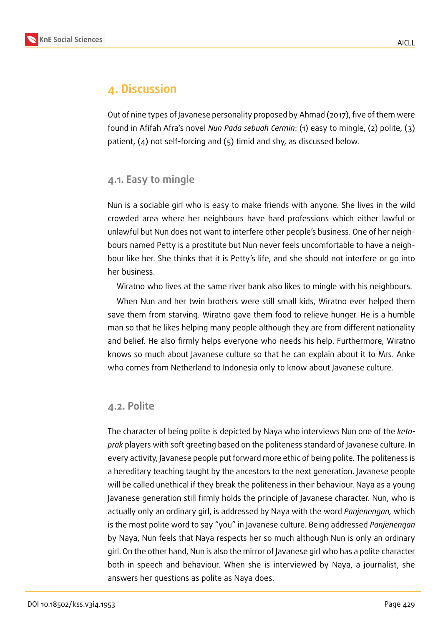



# **4. Discussion**

Out of nine types of Javanese personality proposed by Ahmad (2017), five of them were found in Afifah Afra's novel *Nun Pada sebuah Cermin*: (1) easy to mingle, (2) polite, (3) patient, (4) not self-forcing and (5) timid and shy, as discussed below.

### **4.1. Easy to mingle**

Nun is a sociable girl who is easy to make friends with anyone. She lives in the wild crowded area where her neighbours have hard professions which either lawful or unlawful but Nun does not want to interfere other people's business. One of her neighbours named Petty is a prostitute but Nun never feels uncomfortable to have a neighbour like her. She thinks that it is Petty's life, and she should not interfere or go into her business.

Wiratno who lives at the same river bank also likes to mingle with his neighbours.

When Nun and her twin brothers were still small kids, Wiratno ever helped them save them from starving. Wiratno gave them food to relieve hunger. He is a humble man so that he likes helping many people although they are from different nationality and belief. He also firmly helps everyone who needs his help. Furthermore, Wiratno knows so much about Javanese culture so that he can explain about it to Mrs. Anke who comes from Netherland to Indonesia only to know about Javanese culture.

### **4.2. Polite**

The character of being polite is depicted by Naya who interviews Nun one of the *ketoprak* players with soft greeting based on the politeness standard of Javanese culture. In every activity, Javanese people put forward more ethic of being polite. The politeness is a hereditary teaching taught by the ancestors to the next generation. Javanese people will be called unethical if they break the politeness in their behaviour. Naya as a young Javanese generation still firmly holds the principle of Javanese character. Nun, who is actually only an ordinary girl, is addressed by Naya with the word *Panjenengan,* which is the most polite word to say "you" in Javanese culture. Being addressed *Panjenengan* by Naya, Nun feels that Naya respects her so much although Nun is only an ordinary girl. On the other hand, Nun is also the mirror of Javanese girl who has a polite character both in speech and behaviour. When she is interviewed by Naya, a journalist, she answers her questions as polite as Naya does.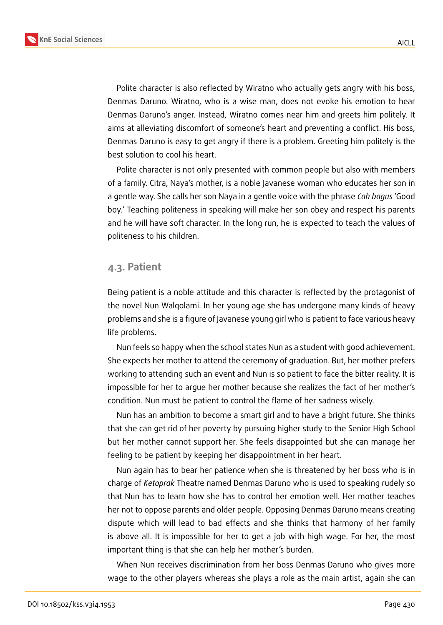

Polite character is also reflected by Wiratno who actually gets angry with his boss, Denmas Daruno. Wiratno, who is a wise man, does not evoke his emotion to hear Denmas Daruno's anger. Instead, Wiratno comes near him and greets him politely. It aims at alleviating discomfort of someone's heart and preventing a conflict. His boss, Denmas Daruno is easy to get angry if there is a problem. Greeting him politely is the best solution to cool his heart.

Polite character is not only presented with common people but also with members of a family. Citra, Naya's mother, is a noble Javanese woman who educates her son in a gentle way. She calls her son Naya in a gentle voice with the phrase *Cah bagus* 'Good boy.' Teaching politeness in speaking will make her son obey and respect his parents and he will have soft character. In the long run, he is expected to teach the values of politeness to his children.

#### **4.3. Patient**

Being patient is a noble attitude and this character is reflected by the protagonist of the novel Nun Walqolami. In her young age she has undergone many kinds of heavy problems and she is a figure of Javanese young girl who is patient to face various heavy life problems.

Nun feels so happy when the school states Nun as a student with good achievement. She expects her mother to attend the ceremony of graduation. But, her mother prefers working to attending such an event and Nun is so patient to face the bitter reality. It is impossible for her to argue her mother because she realizes the fact of her mother's condition. Nun must be patient to control the flame of her sadness wisely.

Nun has an ambition to become a smart girl and to have a bright future. She thinks that she can get rid of her poverty by pursuing higher study to the Senior High School but her mother cannot support her. She feels disappointed but she can manage her feeling to be patient by keeping her disappointment in her heart.

Nun again has to bear her patience when she is threatened by her boss who is in charge of *Ketoprak* Theatre named Denmas Daruno who is used to speaking rudely so that Nun has to learn how she has to control her emotion well. Her mother teaches her not to oppose parents and older people. Opposing Denmas Daruno means creating dispute which will lead to bad effects and she thinks that harmony of her family is above all. It is impossible for her to get a job with high wage. For her, the most important thing is that she can help her mother's burden.

When Nun receives discrimination from her boss Denmas Daruno who gives more wage to the other players whereas she plays a role as the main artist, again she can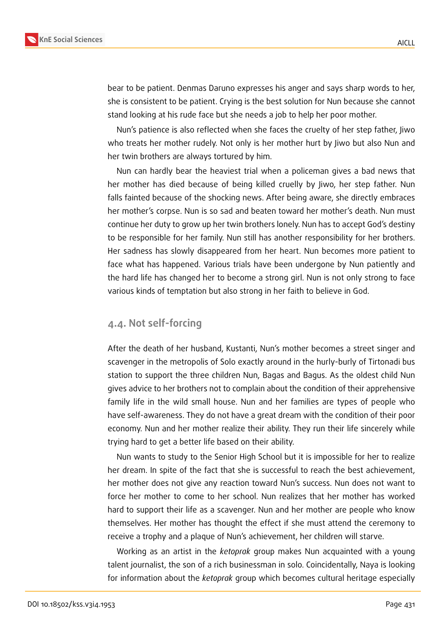

bear to be patient. Denmas Daruno expresses his anger and says sharp words to her, she is consistent to be patient. Crying is the best solution for Nun because she cannot stand looking at his rude face but she needs a job to help her poor mother.

Nun's patience is also reflected when she faces the cruelty of her step father, Jiwo who treats her mother rudely. Not only is her mother hurt by Jiwo but also Nun and her twin brothers are always tortured by him.

Nun can hardly bear the heaviest trial when a policeman gives a bad news that her mother has died because of being killed cruelly by Jiwo, her step father. Nun falls fainted because of the shocking news. After being aware, she directly embraces her mother's corpse. Nun is so sad and beaten toward her mother's death. Nun must continue her duty to grow up her twin brothers lonely. Nun has to accept God's destiny to be responsible for her family. Nun still has another responsibility for her brothers. Her sadness has slowly disappeared from her heart. Nun becomes more patient to face what has happened. Various trials have been undergone by Nun patiently and the hard life has changed her to become a strong girl. Nun is not only strong to face various kinds of temptation but also strong in her faith to believe in God.

#### **4.4. Not self-forcing**

After the death of her husband, Kustanti, Nun's mother becomes a street singer and scavenger in the metropolis of Solo exactly around in the hurly-burly of Tirtonadi bus station to support the three children Nun, Bagas and Bagus. As the oldest child Nun gives advice to her brothers not to complain about the condition of their apprehensive family life in the wild small house. Nun and her families are types of people who have self-awareness. They do not have a great dream with the condition of their poor economy. Nun and her mother realize their ability. They run their life sincerely while trying hard to get a better life based on their ability.

Nun wants to study to the Senior High School but it is impossible for her to realize her dream. In spite of the fact that she is successful to reach the best achievement, her mother does not give any reaction toward Nun's success. Nun does not want to force her mother to come to her school. Nun realizes that her mother has worked hard to support their life as a scavenger. Nun and her mother are people who know themselves. Her mother has thought the effect if she must attend the ceremony to receive a trophy and a plaque of Nun's achievement, her children will starve.

Working as an artist in the *ketoprak* group makes Nun acquainted with a young talent journalist, the son of a rich businessman in solo. Coincidentally, Naya is looking for information about the *ketoprak* group which becomes cultural heritage especially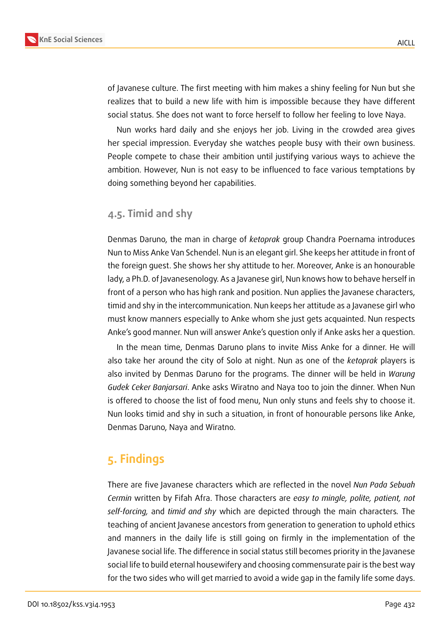

of Javanese culture. The first meeting with him makes a shiny feeling for Nun but she realizes that to build a new life with him is impossible because they have different social status. She does not want to force herself to follow her feeling to love Naya.

Nun works hard daily and she enjoys her job. Living in the crowded area gives her special impression. Everyday she watches people busy with their own business. People compete to chase their ambition until justifying various ways to achieve the ambition. However, Nun is not easy to be influenced to face various temptations by doing something beyond her capabilities.

### **4.5. Timid and shy**

Denmas Daruno, the man in charge of *ketoprak* group Chandra Poernama introduces Nun to Miss Anke Van Schendel. Nun is an elegant girl. She keeps her attitude in front of the foreign guest. She shows her shy attitude to her. Moreover, Anke is an honourable lady, a Ph.D. of Javanesenology. As a Javanese girl, Nun knows how to behave herself in front of a person who has high rank and position. Nun applies the Javanese characters, timid and shy in the intercommunication. Nun keeps her attitude as a Javanese girl who must know manners especially to Anke whom she just gets acquainted. Nun respects Anke's good manner. Nun will answer Anke's question only if Anke asks her a question.

In the mean time, Denmas Daruno plans to invite Miss Anke for a dinner. He will also take her around the city of Solo at night. Nun as one of the *ketoprak* players is also invited by Denmas Daruno for the programs. The dinner will be held in *Warung Gudek Ceker Banjarsari*. Anke asks Wiratno and Naya too to join the dinner. When Nun is offered to choose the list of food menu, Nun only stuns and feels shy to choose it. Nun looks timid and shy in such a situation, in front of honourable persons like Anke, Denmas Daruno, Naya and Wiratno.

# **5. Findings**

There are five Javanese characters which are reflected in the novel *Nun Pada Sebuah Cermin* written by Fifah Afra. Those characters are *easy to mingle, polite, patient, not self-forcing,* and *timid and shy* which are depicted through the main characters*.* The teaching of ancient Javanese ancestors from generation to generation to uphold ethics and manners in the daily life is still going on firmly in the implementation of the Javanese social life. The difference in social status still becomes priority in the Javanese social life to build eternal housewifery and choosing commensurate pair is the best way for the two sides who will get married to avoid a wide gap in the family life some days.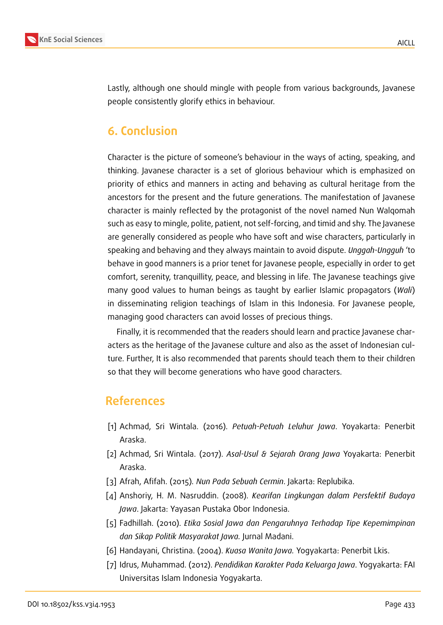

Lastly, although one should mingle with people from various backgrounds, Javanese people consistently glorify ethics in behaviour.

# **6. Conclusion**

Character is the picture of someone's behaviour in the ways of acting, speaking, and thinking. Javanese character is a set of glorious behaviour which is emphasized on priority of ethics and manners in acting and behaving as cultural heritage from the ancestors for the present and the future generations. The manifestation of Javanese character is mainly reflected by the protagonist of the novel named Nun Walqomah such as easy to mingle, polite, patient, not self-forcing, and timid and shy. The Javanese are generally considered as people who have soft and wise characters, particularly in speaking and behaving and they always maintain to avoid dispute. *Unggah-Ungguh* 'to behave in good manners is a prior tenet for Javanese people, especially in order to get comfort, serenity, tranquillity, peace, and blessing in life. The Javanese teachings give many good values to human beings as taught by earlier Islamic propagators (*Wali*) in disseminating religion teachings of Islam in this Indonesia. For Javanese people, managing good characters can avoid losses of precious things.

Finally, it is recommended that the readers should learn and practice Javanese characters as the heritage of the Javanese culture and also as the asset of Indonesian culture. Further, It is also recommended that parents should teach them to their children so that they will become generations who have good characters.

### **References**

- [1] Achmad, Sri Wintala. (2016). *Petuah-Petuah Leluhur Jawa*. Yoyakarta: Penerbit Araska.
- [2] Achmad, Sri Wintala. (2017). *Asal-Usul & Sejarah Orang Jawa* Yoyakarta: Penerbit Araska.
- [3] Afrah, Afifah. (2015)*. Nun Pada Sebuah Cermin*. Jakarta: Replubika.
- [4] Anshoriy, H. M. Nasruddin. (2008). *Kearifan Lingkungan dalam Persfektif Budaya Jawa*. Jakarta: Yayasan Pustaka Obor Indonesia.
- [5] Fadhillah. (2010). *Etika Sosial Jawa dan Pengaruhnya Terhadap Tipe Kepemimpinan dan Sikap Politik Masyarakat Jawa.* Jurnal Madani.
- [6] Handayani, Christina. (2004). *Kuasa Wanita Jawa.* Yogyakarta: Penerbit Lkis.
- [7] Idrus, Muhammad. (2012). *Pendidikan Karakter Pada Keluarga Jawa*. Yogyakarta: FAI Universitas Islam Indonesia Yogyakarta.